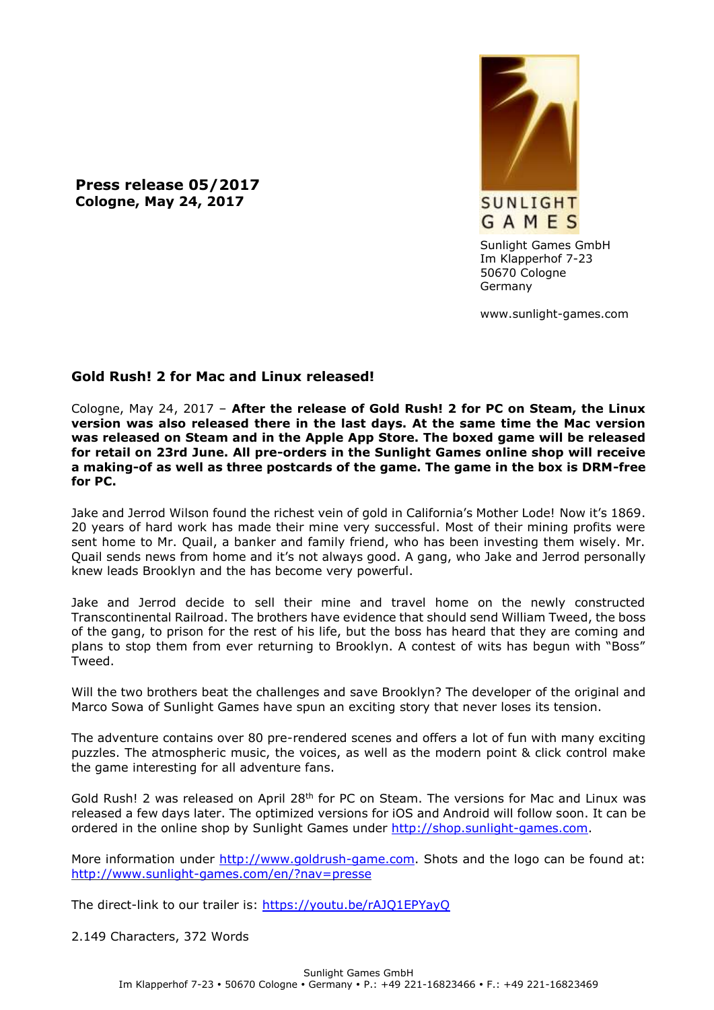**Press release 05/2017 Cologne, May 24, 2017**



Sunlight Games GmbH Im Klapperhof 7-23 50670 Cologne Germany

www.sunlight-games.com

## **Gold Rush! 2 for Mac and Linux released!**

Cologne, May 24, 2017 – **After the release of Gold Rush! 2 for PC on Steam, the Linux version was also released there in the last days. At the same time the Mac version was released on Steam and in the Apple App Store. The boxed game will be released for retail on 23rd June. All pre-orders in the Sunlight Games online shop will receive a making-of as well as three postcards of the game. The game in the box is DRM-free for PC.**

Jake and Jerrod Wilson found the richest vein of gold in California's Mother Lode! Now it's 1869. 20 years of hard work has made their mine very successful. Most of their mining profits were sent home to Mr. Quail, a banker and family friend, who has been investing them wisely. Mr. Quail sends news from home and it's not always good. A gang, who Jake and Jerrod personally knew leads Brooklyn and the has become very powerful.

Jake and Jerrod decide to sell their mine and travel home on the newly constructed Transcontinental Railroad. The brothers have evidence that should send William Tweed, the boss of the gang, to prison for the rest of his life, but the boss has heard that they are coming and plans to stop them from ever returning to Brooklyn. A contest of wits has begun with "Boss" Tweed.

Will the two brothers beat the challenges and save Brooklyn? The developer of the original and Marco Sowa of Sunlight Games have spun an exciting story that never loses its tension.

The adventure contains over 80 pre-rendered scenes and offers a lot of fun with many exciting puzzles. The atmospheric music, the voices, as well as the modern point & click control make the game interesting for all adventure fans.

Gold Rush! 2 was released on April 28<sup>th</sup> for PC on Steam. The versions for Mac and Linux was released a few days later. The optimized versions for iOS and Android will follow soon. It can be ordered in the online shop by Sunlight Games under [http://shop.sunlight-games.com.](http://shop.sunlight-games.com/)

More information under [http://www.goldrush-game.com.](http://www.goldrush-game.com/) Shots and the logo can be found at: <http://www.sunlight-games.com/en/?nav=presse>

The direct-link to our trailer is:<https://youtu.be/rAJQ1EPYayQ>

2.149 Characters, 372 Words